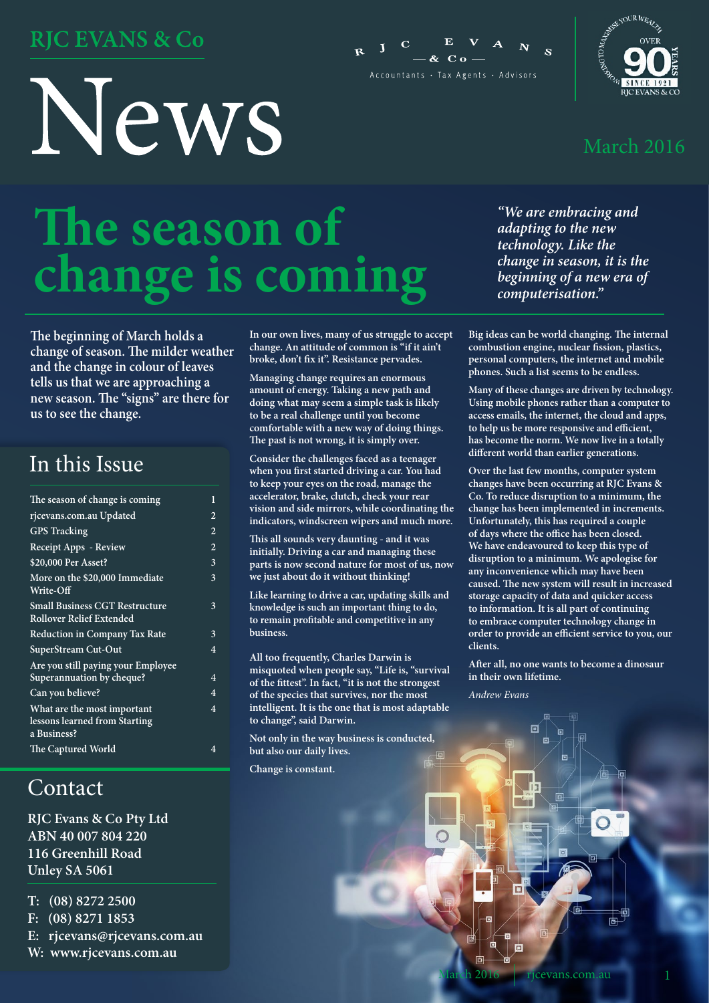### **RJC EVANS & Co**

# News





#### March 2016

# **The season of change is coming**

**The beginning of March holds a change of season. The milder weather and the change in colour of leaves tells us that we are approaching a new season. The "signs" are there for us to see the change.**

### In this Issue

| The season of change is coming                                              | 1              |
|-----------------------------------------------------------------------------|----------------|
| rjcevans.com.au Updated                                                     | $\overline{2}$ |
| <b>GPS</b> Tracking                                                         | 2              |
| Receipt Apps - Review                                                       | $\overline{2}$ |
| \$20,000 Per Asset?                                                         | 3              |
| More on the \$20,000 Immediate<br>Write-Off                                 | 3              |
| <b>Small Business CGT Restructure</b><br><b>Rollover Relief Extended</b>    | 3              |
| <b>Reduction in Company Tax Rate</b>                                        | 3              |
| SuperStream Cut-Out                                                         | $\overline{4}$ |
| Are you still paying your Employee<br>Superannuation by cheque?             | $\overline{4}$ |
| Can you believe?                                                            | $\overline{4}$ |
| What are the most important<br>lessons learned from Starting<br>a Business? | 4              |
| The Captured World                                                          | 4              |
|                                                                             |                |

### Contact

**RJC Evans & Co Pty Ltd ABN 40 007 804 220 116 Greenhill Road Unley SA 5061** 

**T: (08) 8272 2500** 

- **F: (08) 8271 1853**
- **E: rjcevans@rjcevans.com.au**
- **W: www.rjcevans.com.au**

**In our own lives, many of us struggle to accept change. An attitude of common is "if it ain't broke, don't fix it". Resistance pervades.**

**Managing change requires an enormous amount of energy. Taking a new path and doing what may seem a simple task is likely to be a real challenge until you become comfortable with a new way of doing things. The past is not wrong, it is simply over.**

**Consider the challenges faced as a teenager when you first started driving a car. You had to keep your eyes on the road, manage the accelerator, brake, clutch, check your rear vision and side mirrors, while coordinating the indicators, windscreen wipers and much more.**

**This all sounds very daunting - and it was initially. Driving a car and managing these parts is now second nature for most of us, now we just about do it without thinking!**

**Like learning to drive a car, updating skills and knowledge is such an important thing to do, to remain profitable and competitive in any business.**

**All too frequently, Charles Darwin is misquoted when people say, "Life is, "survival of the fittest". In fact, "it is not the strongest of the species that survives, nor the most intelligent. It is the one that is most adaptable to change", said Darwin.**

**Not only in the way business is conducted, but also our daily lives.** 

**Change is constant.**

*"We are embracing and adapting to the new technology. Like the change in season, it is the beginning of a new era of computerisation."*

**Big ideas can be world changing. The internal combustion engine, nuclear fission, plastics, personal computers, the internet and mobile phones. Such a list seems to be endless.**

**Many of these changes are driven by technology. Using mobile phones rather than a computer to access emails, the internet, the cloud and apps, to help us be more responsive and efficient, has become the norm. We now live in a totally different world than earlier generations.**

**Over the last few months, computer system changes have been occurring at RJC Evans & Co. To reduce disruption to a minimum, the change has been implemented in increments. Unfortunately, this has required a couple of days where the office has been closed. We have endeavoured to keep this type of disruption to a minimum. We apologise for any inconvenience which may have been caused. The new system will result in increased storage capacity of data and quicker access to information. It is all part of continuing to embrace computer technology change in order to provide an efficient service to you, our clients.**

**After all, no one wants to become a dinosaur in their own lifetime.**

h

*Andrew Evans*

回

面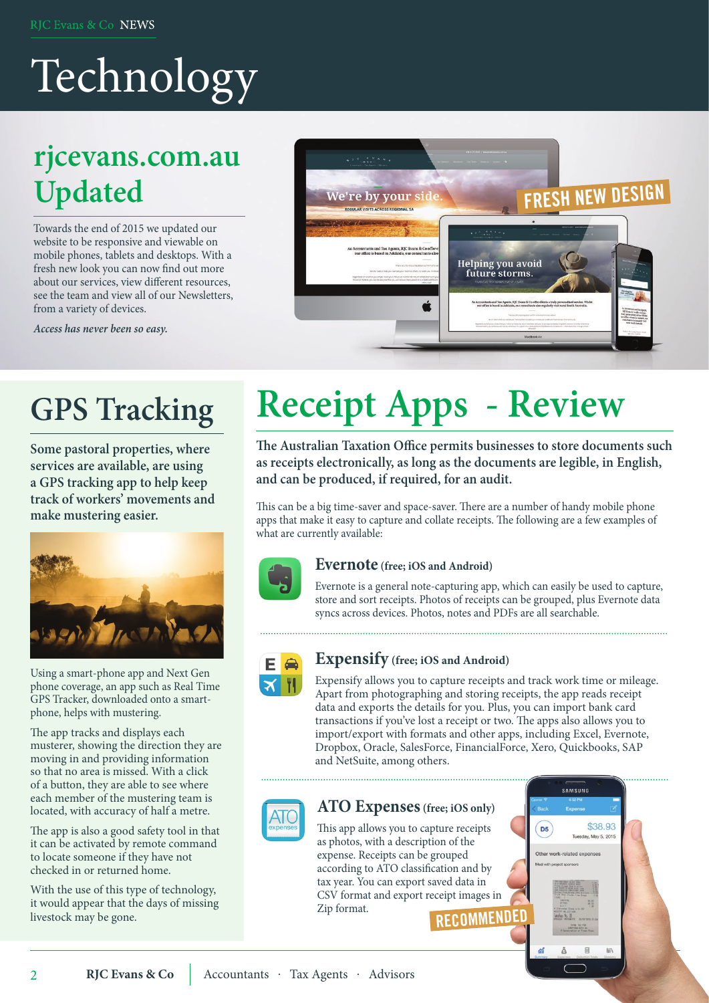# Technology

### **rjcevans.com.au Updated**

Towards the end of 2015 we updated our website to be responsive and viewable on mobile phones, tablets and desktops. With a fresh new look you can now find out more about our services, view different resources, see the team and view all of our Newsletters, from a variety of devices.

*Access has never been so easy.*



### **GPS Tracking**

**Some pastoral properties, where services are available, are using a GPS tracking app to help keep track of workers' movements and make mustering easier.**



Using a smart-phone app and Next Gen phone coverage, an app such as Real Time GPS Tracker, downloaded onto a smartphone, helps with mustering.

The app tracks and displays each musterer, showing the direction they are moving in and providing information so that no area is missed. With a click of a button, they are able to see where each member of the mustering team is located, with accuracy of half a metre.

The app is also a good safety tool in that it can be activated by remote command to locate someone if they have not checked in or returned home.

With the use of this type of technology, it would appear that the days of missing livestock may be gone.

 $\overline{2}$ 

# **Receipt Apps - Review**

**The Australian Taxation Office permits businesses to store documents such as receipts electronically, as long as the documents are legible, in English, and can be produced, if required, for an audit.** 

This can be a big time-saver and space-saver. There are a number of handy mobile phone apps that make it easy to capture and collate receipts. The following are a few examples of what are currently available:



#### **Evernote (free; iOS and Android)**

Evernote is a general note-capturing app, which can easily be used to capture, store and sort receipts. Photos of receipts can be grouped, plus Evernote data syncs across devices. Photos, notes and PDFs are all searchable.



#### **Expensify (free; iOS and Android)**

Expensify allows you to capture receipts and track work time or mileage. Apart from photographing and storing receipts, the app reads receipt data and exports the details for you. Plus, you can import bank card transactions if you've lost a receipt or two. The apps also allows you to import/export with formats and other apps, including Excel, Evernote, Dropbox, Oracle, SalesForce, FinancialForce, Xero, Quickbooks, SAP and NetSuite, among others.



#### **ATO Expenses (free; iOS only)**

This app allows you to capture receipts as photos, with a description of the expense. Receipts can be grouped according to ATO classification and by tax year. You can export saved data in CSV format and export receipt images in Zip format.

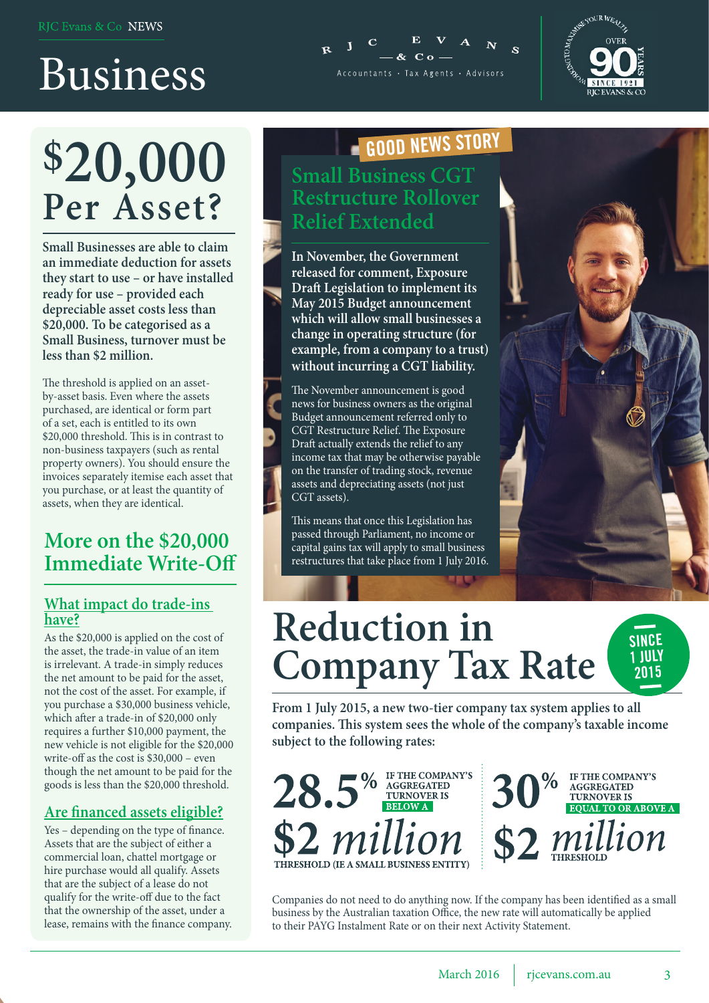# Business

# **\$20,000 Per Asset?**

**Small Businesses are able to claim an immediate deduction for assets they start to use – or have installed ready for use – provided each depreciable asset costs less than \$20,000. To be categorised as a Small Business, turnover must be less than \$2 million.**

The threshold is applied on an assetby-asset basis. Even where the assets purchased, are identical or form part of a set, each is entitled to its own \$20,000 threshold. This is in contrast to non-business taxpayers (such as rental property owners). You should ensure the invoices separately itemise each asset that you purchase, or at least the quantity of assets, when they are identical.

#### **More on the \$20,000 Immediate Write-Off**

#### **What impact do trade-ins have?**

As the \$20,000 is applied on the cost of the asset, the trade-in value of an item is irrelevant. A trade-in simply reduces the net amount to be paid for the asset, not the cost of the asset. For example, if you purchase a \$30,000 business vehicle, which after a trade-in of \$20,000 only requires a further \$10,000 payment, the new vehicle is not eligible for the \$20,000 write-off as the cost is \$30,000 – even though the net amount to be paid for the goods is less than the \$20,000 threshold.

#### **Are financed assets eligible?**

Yes – depending on the type of finance. Assets that are the subject of either a commercial loan, chattel mortgage or hire purchase would all qualify. Assets that are the subject of a lease do not qualify for the write-off due to the fact that the ownership of the asset, under a lease, remains with the finance company.

### **GOOD NEWS STORY**

Accountants • Tax Agents • Advisors

**Small Business CGT Restructure Rollover Relief Extended**

**In November, the Government released for comment, Exposure Draft Legislation to implement its May 2015 Budget announcement which will allow small businesses a change in operating structure (for example, from a company to a trust) without incurring a CGT liability.**

The November announcement is good news for business owners as the original Budget announcement referred only to CGT Restructure Relief. The Exposure Draft actually extends the relief to any income tax that may be otherwise payable on the transfer of trading stock, revenue assets and depreciating assets (not just CGT assets).

This means that once this Legislation has passed through Parliament, no income or capital gains tax will apply to small business restructures that take place from 1 July 2016.



**RIC EVANS & C** 

## **Reduction in Company Tax Rate**

**From 1 July 2015, a new two-tier company tax system applies to all companies. This system sees the whole of the company's taxable income subject to the following rates:**



IF THE COMPANY'S AGGREGATED<br>TURNOVER IS EQUAL TO OR ABOVE A  $$2$  million

**SINCE 1 JULY 2015**

Companies do not need to do anything now. If the company has been identified as a small business by the Australian taxation Office, the new rate will automatically be applied to their PAYG Instalment Rate or on their next Activity Statement.